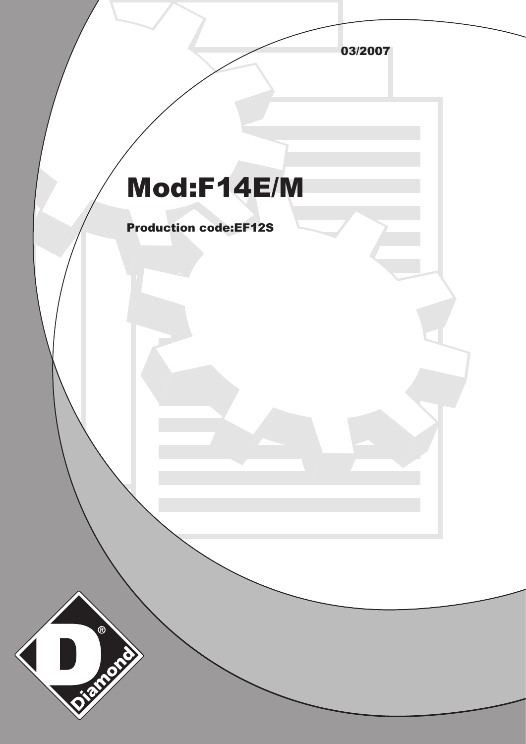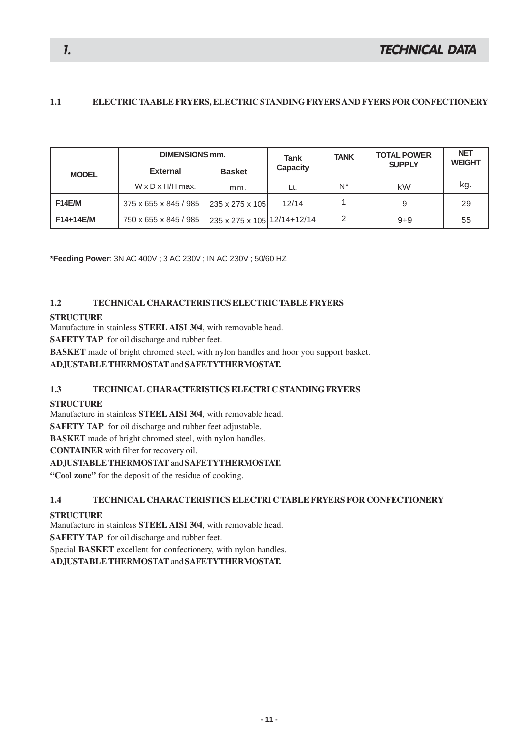## **1.1 ELECTRIC TAABLE FRYERS, ELECTRIC STANDING FRYERS AND FYERS FOR CONFECTIONERY**

|               | <b>DIMENSIONS mm.</b>        |                             | Tank            | <b>TANK</b> | <b>TOTAL POWER</b><br><b>SUPPLY</b> | <b>NET</b><br><b>WEIGHT</b> |
|---------------|------------------------------|-----------------------------|-----------------|-------------|-------------------------------------|-----------------------------|
| <b>MODEL</b>  | <b>External</b>              | <b>Basket</b>               | <b>Capacity</b> |             |                                     |                             |
|               | $W \times D \times H/H$ max. | mm.                         | Lt.             | Ν°          | kW                                  | kg.                         |
| <b>F14E/M</b> | 375 x 655 x 845 / 985        | 235 x 275 x 105             | 12/14           |             | 9                                   | 29                          |
| F14+14E/M     | 750 x 655 x 845 / 985        | 235 x 275 x 105 12/14+12/14 |                 | 2           | $9 + 9$                             | 55                          |

**\*Feeding Power**: 3N AC 400V ; 3 AC 230V ; IN AC 230V ; 50/60 HZ

### **1.2 TECHNICAL CHARACTERISTICS ELECTRIC TABLE FRYERS**

#### **STRUCTURE**

Manufacture in stainless **STEEL AISI 304**, with removable head.

**SAFETY TAP** for oil discharge and rubber feet.

**BASKET** made of bright chromed steel, with nylon handles and hoor you support basket.

### **ADJUSTABLE THERMOSTAT** and **SAFETYTHERMOSTAT.**

### **1.3 TECHNICAL CHARACTERISTICS ELECTRI C STANDING FRYERS**

#### **STRUCTURE**

Manufacture in stainless **STEEL AISI 304**, with removable head.

**SAFETY TAP** for oil discharge and rubber feet adjustable.

**BASKET** made of bright chromed steel, with nylon handles.

**CONTAINER** with filter for recovery oil.

### **ADJUSTABLE THERMOSTAT** and **SAFETYTHERMOSTAT.**

**"Cool zone"** for the deposit of the residue of cooking.

### **1.4 TECHNICAL CHARACTERISTICS ELECTRI C TABLE FRYERS FOR CONFECTIONERY**

### **STRUCTURE**

Manufacture in stainless **STEEL AISI 304**, with removable head.

**SAFETY TAP** for oil discharge and rubber feet.

Special **BASKET** excellent for confectionery, with nylon handles.

**ADJUSTABLE THERMOSTAT** and **SAFETYTHERMOSTAT.**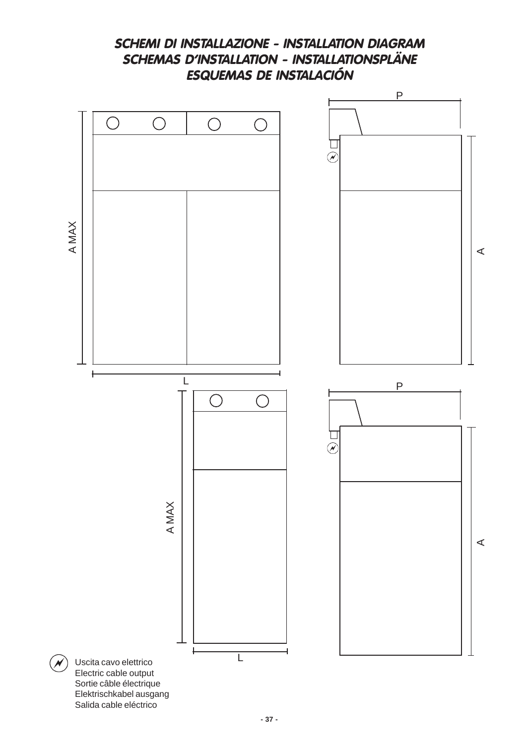

**SCHEMI DI INSTALLAZIONE - INSTALLATION DIAGRAM** SCHEMAS D'INSTALLATION - INSTALLATIONSPLÄNE

# Salida cable eléctrico